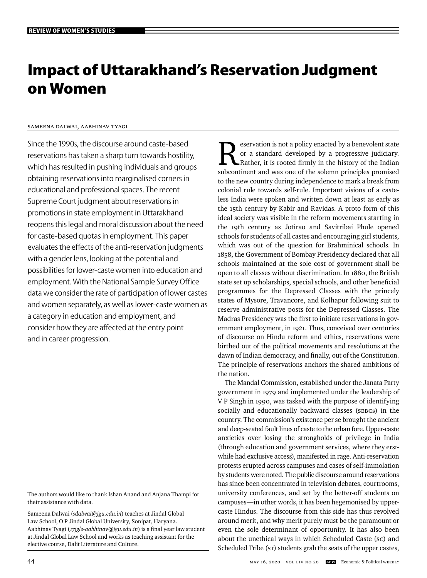# **Impact of Uttarakhand's Reservation Judgment on Women**

# Sameena Dalwai, Aabhinav Tyagi

Since the 1990s, the discourse around caste-based reservations has taken a sharp turn towards hostility, which has resulted in pushing individuals and groups obtaining reservations into marginalised corners in educational and professional spaces. The recent Supreme Court judgment about reservations in promotions in state employment in Uttarakhand reopens this legal and moral discussion about the need for caste-based quotas in employment. This paper evaluates the effects of the anti-reservation judgments with a gender lens, looking at the potential and possibilities for lower-caste women into education and employment. With the National Sample Survey Office data we consider the rate of participation of lower castes and women separately, as well as lower-caste women as a category in education and employment, and consider how they are affected at the entry point and in career progression.

The authors would like to thank Ishan Anand and Anjana Thampi for their assistance with data.

Sameena Dalwai (*sdalwai@jgu.edu.in*) teaches at Jindal Global Law School, O P Jindal Global University, Sonipat, Haryana. Aabhinav Tyagi (17jgls-aabhinav@jgu.edu.in) is a final year law student at Jindal Global Law School and works as teaching assistant for the elective course, Dalit Literature and Culture.

eservation is not a policy enacted by a benevolent state or a standard developed by a progressive judiciary. Rather, it is rooted firmly in the history of the Indian subcontinent and was one of the solemn principles promised to the new country during independence to mark a break from colonial rule towards self-rule. Important visions of a casteless India were spoken and written down at least as early as the 15th century by Kabir and Ravidas. A proto form of this ideal society was visible in the reform movements starting in the 19th century as Jotirao and Savitribai Phule opened schools for students of all castes and encouraging girl students, which was out of the question for Brahminical schools. In 1858, the Government of Bombay Presidency declared that all schools maintained at the sole cost of government shall be open to all classes without discrimination. In 1880, the British state set up scholarships, special schools, and other beneficial programmes for the Depressed Classes with the princely states of Mysore, Travancore, and Kolhapur following suit to reserve administrative posts for the Depressed Classes. The Madras Presidency was the first to initiate reservations in government employment, in 1921. Thus, conceived over centuries of discourse on Hindu reform and ethics, reservations were birthed out of the political movements and resolutions at the dawn of Indian democracy, and finally, out of the Constitution. The principle of reservations anchors the shared ambitions of the nation.

The Mandal Commission, established under the Janata Party government in 1979 and implemented under the leadership of V P Singh in 1990, was tasked with the purpose of identifying socially and educationally backward classes (SEBCs) in the country. The commission's existence per se brought the ancient and deep-seated fault lines of caste to the urban fore. Upper-caste anxieties over losing the strongholds of privilege in India (through education and government services, where they erstwhile had exclusive access), manifested in rage. Anti-reservation protests erupted across campuses and cases of self-immolation by students were noted. The public discourse around reservations has since been concentrated in television debates, courtrooms, university conferences, and set by the better-off students on campuses—in other words, it has been hegemonised by uppercaste Hindus. The discourse from this side has thus revolved around merit, and why merit purely must be the paramount or even the sole determinant of opportunity. It has also been about the unethical ways in which Scheduled Caste (sc) and Scheduled Tribe (sT) students grab the seats of the upper castes,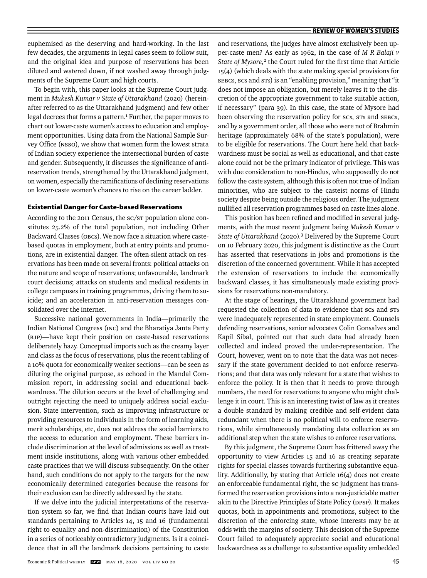euphemised as the deserving and hard-working. In the last few decades, the arguments in legal cases seem to follow suit, and the original idea and purpose of reservations has been diluted and watered down, if not washed away through judgments of the Supreme Court and high courts.

To begin with, this paper looks at the Supreme Court judgment in *Mukesh Kumar v State of Uttarakhand* (2020) (hereinafter referred to as the Uttarakhand judgment) and few other legal decrees that forms a pattern.<sup>1</sup> Further, the paper moves to chart out lower-caste women's access to education and employment opportunities. Using data from the National Sample Survey Office (NSSO), we show that women form the lowest strata of Indian society experience the intersectional burden of caste and gender. Subsequently, it discusses the significance of antireservation trends, strengthened by the Uttarakhand judgment, on women, especially the ramifications of declining reservations on lower-caste women's chances to rise on the career ladder.

#### **Existential Danger for Caste-based Reservations**

According to the 2011 Census, the SC/ST population alone constitutes 25.2% of the total population, not including Other Backward Classes (OBCs). We now face a situation where castebased quotas in employment, both at entry points and promotions, are in existential danger. The often-silent attack on reservations has been made on several fronts: political attacks on the nature and scope of reservations; unfavourable, landmark court decisions; attacks on students and medical residents in college campuses in training programmes, driving them to suicide; and an acceleration in anti-reservation messages consolidated over the internet.

Successive national governments in India—primarily the Indian National Congress (INC) and the Bharatiya Janta Party (BJP)—have kept their position on caste-based reservations deliberately hazy. Conceptual imports such as the creamy layer and class as the focus of reservations, plus the recent tabling of a 10% quota for economically weaker sections—can be seen as diluting the original purpose, as echoed in the Mandal Commission report, in addressing social and educational backwardness. The dilution occurs at the level of challenging and outright rejecting the need to uniquely address social exclusion. State intervention, such as improving infrastructure or providing resources to individuals in the form of learning aids, merit scholarships, etc, does not address the social barriers to the access to education and employment. These barriers include discrimination at the level of admissions as well as treatment inside institutions, along with various other embedded caste practices that we will discuss subsequently. On the other hand, such conditions do not apply to the targets for the new economically determined categories because the reasons for their exclusion can be directly addressed by the state.

If we delve into the judicial interpretations of the reservation system so far, we find that Indian courts have laid out standards pertaining to Articles 14, 15 and 16 (fundamental right to equality and non-discrimination) of the Constitution in a series of noticeably contradictory judgments. Is it a coincidence that in all the landmark decisions pertaining to caste and reservations, the judges have almost exclusively been upper-caste men? As early as 1962, in the case of *M R Balaji v*  State of Mysore,<sup>2</sup> the Court ruled for the first time that Article 15(4) (which deals with the state making special provisions for SEBCs, SCs and STs) is an "enabling provision," meaning that "it does not impose an obligation, but merely leaves it to the discretion of the appropriate government to take suitable action, if necessary" (para 39). In this case, the state of Mysore had been observing the reservation policy for SCs, STs and SEBCs, and by a government order, all those who were not of Brahmin heritage (approximately 68% of the state's population), were to be eligible for reservations. The Court here held that backwardness must be social as well as educational, and that caste alone could not be the primary indicator of privilege. This was with due consideration to non-Hindus, who supposedly do not follow the caste system, although this is often not true of Indian minorities, who are subject to the casteist norms of Hindu society despite being outside the religious order. The judgment nullified all reservation programmes based on caste lines alone.

This position has been refined and modified in several judgments, with the most recent judgment being *Mukesh Kumar v State of Uttarakhand* (2020)*.* <sup>3</sup> Delivered by the Supreme Court on 10 February 2020, this judgment is distinctive as the Court has asserted that reservations in jobs and promotions is the discretion of the concerned government. While it has accepted the extension of reservations to include the economically backward classes, it has simultaneously made existing provisions for reservations non-mandatory.

At the stage of hearings, the Uttarakhand government had requested the collection of data to evidence that scs and s $rs$ were inadequately represented in state employment. Counsels defending reservations, senior advocates Colin Gonsalves and Kapil Sibal, pointed out that such data had already been collected and indeed proved the under-representation. The Court, however, went on to note that the data was not necessary if the state government decided to not enforce reservations; and that data was only relevant for a state that wishes to enforce the policy. It is then that it needs to prove through numbers, the need for reservations to anyone who might challenge it in court. This is an interesting twist of law as it creates a double standard by making credible and self-evident data redundant when there is no political will to enforce reservations, while simultaneously mandating data collection as an additional step when the state wishes to enforce reservations.

By this judgment, the Supreme Court has frittered away the opportunity to view Articles 15 and 16 as creating separate rights for special classes towards furthering substantive equality. Additionally, by stating that Article 16(4) does not create an enforceable fundamental right, the SC judgment has transformed the reservation provisions into a non-justiciable matter akin to the Directive Principles of State Policy (DPSP). It makes quotas, both in appointments and promotions, subject to the discretion of the enforcing state, whose interests may be at odds with the margins of society. This decision of the Supreme Court failed to adequately appreciate social and educational backwardness as a challenge to substantive equality embedded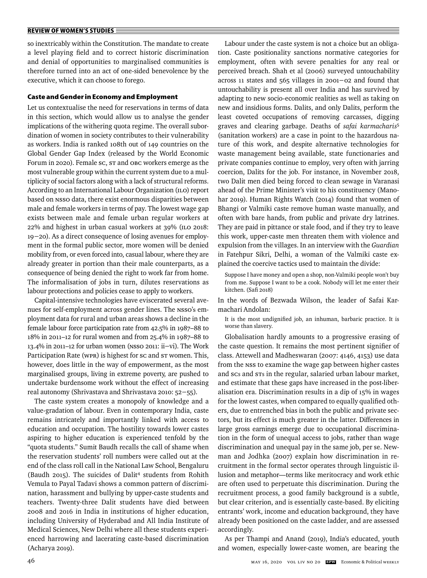so inextricably within the Constitution. The mandate to create a level playing field and to correct historic discrimination and denial of opportunities to marginalised communities is therefore turned into an act of one-sided benevolence by the executive, which it can choose to forego.

## **Caste and Gender in Economy and Employment**

Let us contextualise the need for reservations in terms of data in this section, which would allow us to analyse the gender implications of the withering quota regime. The overall subordination of women in society contributes to their vulnerability as workers. India is ranked 108th out of 149 countries on the Global Gender Gap Index (released by the World Economic Forum in 2020). Female SC, ST and OBC workers emerge as the most vulnerable group within the current system due to a multiplicity of social factors along with a lack of structural reforms. According to an International Labour Organization (ILO) report based on NSSO data, there exist enormous disparities between male and female workers in terms of pay. The lowest wage gap exists between male and female urban regular workers at 22% and highest in urban casual workers at 39% (ILO 2018: 19−20). As a direct consequence of losing avenues for employment in the formal public sector, more women will be denied mobility from, or even forced into, casual labour, where they are already greater in portion than their male counterparts, as a consequence of being denied the right to work far from home. The informalisation of jobs in turn, dilutes reservations as labour protections and policies cease to apply to workers.

Capital-intensive technologies have eviscerated several avenues for self-employment across gender lines. The NSSO's employment data for rural and urban areas shows a decline in the female labour force participation rate from 42.5% in 1987–88 to 18% in 2011–12 for rural women and from 25.4% in 1987–88 to 13.4% in 2011–12 for urban women (NSSO 2011: ii−vi). The Work Participation Rate (WPR) is highest for sc and s $\tau$  women. This, however, does little in the way of empowerment, as the most marginalised groups, living in extreme poverty, are pushed to undertake burdensome work without the effect of increasing real autonomy (Shrivastava and Shrivastava 2010: 52−55).

The caste system creates a monopoly of knowledge and a value-gradation of labour. Even in contemporary India, caste remains intricately and importantly linked with access to education and occupation. The hostility towards lower castes aspiring to higher education is experienced tenfold by the "quota students." Sumit Baudh recalls the call of shame when the reservation students' roll numbers were called out at the end of the class roll call in the National Law School, Bengaluru (Baudh 2015). The suicides of Dalit<sup>4</sup> students from Rohith Vemula to Payal Tadavi shows a common pattern of discrimination, harassment and bullying by upper-caste students and teachers. Twenty-three Dalit students have died between 2008 and 2016 in India in institutions of higher education, including University of Hyderabad and All India Institute of Medical Sciences, New Delhi where all these students experienced harrowing and lacerating caste-based discrimination (Acharya 2019).

Labour under the caste system is not a choice but an obligation. Caste positionality sanctions normative categories for employment, often with severe penalties for any real or perceived breach. Shah et al (2006) surveyed untouchability across 11 states and 565 villages in 2001−02 and found that untouchability is present all over India and has survived by adapting to new socio-economic realities as well as taking on new and insidious forms. Dalits, and only Dalits, perform the least coveted occupations of removing carcasses, digging graves and clearing garbage. Deaths of *safai karmacharis*<sup>5</sup> (sanitation workers) are a case in point to the hazardous nature of this work, and despite alternative technologies for waste management being available, state functionaries and private companies continue to employ, very often with jarring coercion, Dalits for the job. For instance, in November 2018, two Dalit men died being forced to clean sewage in Varanasi ahead of the Prime Minister's visit to his constituency (Manohar 2019). Human Rights Watch (2014) found that women of Bhangi or Valmiki caste remove human waste manually, and often with bare hands, from public and private dry latrines. They are paid in pittance or stale food, and if they try to leave this work, upper-caste men threaten them with violence and expulsion from the villages. In an interview with the *Guardian* in Fatehpur Sikri, Delhi, a woman of the Valmiki caste explained the coercive tactics used to maintain the divide:

Suppose I have money and open a shop, non-Valmiki people won't buy from me. Suppose I want to be a cook. Nobody will let me enter their kitchen. (Safi 2018)

In the words of Bezwada Wilson, the leader of Safai Karmachari Andolan:

It is the most undignified job, an inhuman, barbaric practice. It is worse than slavery.

Globalisation hardly amounts to a progressive erasing of the caste question. It remains the most pertinent signifier of class. Attewell and Madheswaran (2007: 4146, 4153) use data from the NSS to examine the wage gap between higher castes and scs and sts in the regular, salaried urban labour market, and estimate that these gaps have increased in the post-liberalisation era. Discrimination results in a dip of 15% in wages for the lowest castes, when compared to equally qualified others, due to entrenched bias in both the public and private sectors, but its effect is much greater in the latter. Differences in large gross earnings emerge due to occupational discrimination in the form of unequal access to jobs, rather than wage discrimination and unequal pay in the same job, per se. Newman and Jodhka (2007) explain how discrimination in recruitment in the formal sector operates through linguistic illusion and metaphor—terms like meritocracy and work ethic are often used to perpetuate this discrimination. During the recruitment process, a good family background is a subtle, but clear criterion, and is essentially caste-based. By eliciting entrants' work, income and education background, they have already been positioned on the caste ladder, and are assessed accordingly.

As per Thampi and Anand (2019), India's educated, youth and women, especially lower-caste women, are bearing the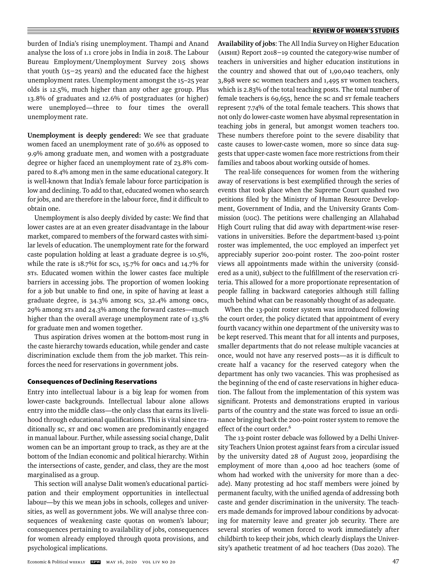burden of India's rising unemployment. Thampi and Anand analyse the loss of 1.1 crore jobs in India in 2018. The Labour Bureau Employment/Unemployment Survey 2015 shows that youth (15−25 years) and the educated face the highest unemployment rates. Unemployment amongst the 15-25 year olds is 12.5%, much higher than any other age group. Plus 13.8% of graduates and 12.6% of postgraduates (or higher) were unemployed—three to four times the overall unemployment rate.

**Unemployment is deeply gendered:** We see that graduate women faced an unemployment rate of 30.6% as opposed to 9.9% among graduate men, and women with a postgraduate degree or higher faced an unemployment rate of 23.8% compared to 8.4% among men in the same educational category. It is well-known that India's female labour force participation is low and declining. To add to that, educated women who search for jobs, and are therefore in the labour force, find it difficult to obtain one.

Unemployment is also deeply divided by caste: We find that lower castes are at an even greater disadvantage in the labour market, compared to members of the forward castes with similar levels of education. The unemployment rate for the forward caste population holding at least a graduate degree is 10.5%, while the rate is 18.7%t for scs, 15.7% for OBCs and 14.7% for STs. Educated women within the lower castes face multiple barriers in accessing jobs. The proportion of women looking for a job but unable to find one, in spite of having at least a graduate degree, is 34.3% among SCs, 32.4% among OBCs, 29% among STs and 24.3% among the forward castes—much higher than the overall average unemployment rate of 13.5% for graduate men and women together.

Thus aspiration drives women at the bottom-most rung in the caste hierarchy towards education, while gender and caste discrimination exclude them from the job market. This reinforces the need for reservations in government jobs.

#### **Consequences of Declining Reservations**

Entry into intellectual labour is a big leap for women from lower-caste backgrounds. Intellectual labour alone allows entry into the middle class—the only class that earns its livelihood through educational qualifications. This is vital since traditionally SC, ST and OBC women are predominantly engaged in manual labour. Further, while assessing social change, Dalit women can be an important group to track, as they are at the bottom of the Indian economic and political hierarchy. Within the intersections of caste, gender, and class, they are the most marginalised as a group.

This section will analyse Dalit women's educational participation and their employment opportunities in intellectual labour—by this we mean jobs in schools, colleges and universities, as well as government jobs. We will analyse three consequences of weakening caste quotas on women's labour; consequences pertaining to availability of jobs, consequences for women already employed through quota provisions, and psychological implications.

**Availability of jobs**: The All India Survey on Higher Education (AISHE) Report 2018−19 counted the category-wise number of teachers in universities and higher education institutions in the country and showed that out of 1,90,040 teachers, only 3,898 were SC women teachers and 1,495 ST women teachers, which is 2.83% of the total teaching posts. The total number of female teachers is 69,655, hence the SC and ST female teachers represent 7.74% of the total female teachers. This shows that not only do lower-caste women have abysmal representation in teaching jobs in general, but amongst women teachers too. These numbers therefore point to the severe disability that caste causes to lower-caste women, more so since data suggests that upper-caste women face more restrictions from their families and taboos about working outside of homes.

The real-life consequences for women from the withering away of reservations is best exemplified through the series of events that took place when the Supreme Court quashed two petitions filed by the Ministry of Human Resource Development, Government of India, and the University Grants Commission (UGC). The petitions were challenging an Allahabad High Court ruling that did away with department-wise reservations in universities. Before the department-based 13-point roster was implemented, the UGC employed an imperfect yet appreciably superior 200-point roster. The 200-point roster views all appointments made within the university (considered as a unit), subject to the fulfillment of the reservation criteria. This allowed for a more proportionate representation of people falling in backward categories although still falling much behind what can be reasonably thought of as adequate.

When the 13-point roster system was introduced following the court order, the policy dictated that appointment of every fourth vacancy within one department of the university was to be kept reserved. This meant that for all intents and purposes, smaller departments that do not release multiple vacancies at once, would not have any reserved posts-as it is difficult to create half a vacancy for the reserved category when the department has only two vacancies. This was prophesised as the beginning of the end of caste reservations in higher education. The fallout from the implementation of this system was significant. Protests and demonstrations erupted in various parts of the country and the state was forced to issue an ordinance bringing back the 200-point roster system to remove the effect of the court order.<sup>6</sup>

The 13-point roster debacle was followed by a Delhi University Teachers Union protest against fears from a circular issued by the university dated 28 of August 2019, jeopardising the employment of more than 4,000 ad hoc teachers (some of whom had worked with the university for more than a decade). Many protesting ad hoc staff members were joined by permanent faculty, with the unified agenda of addressing both caste and gender discrimination in the university. The teachers made demands for improved labour conditions by advocating for maternity leave and greater job security. There are several stories of women forced to work immediately after childbirth to keep their jobs, which clearly displays the University's apathetic treatment of ad hoc teachers (Das 2020). The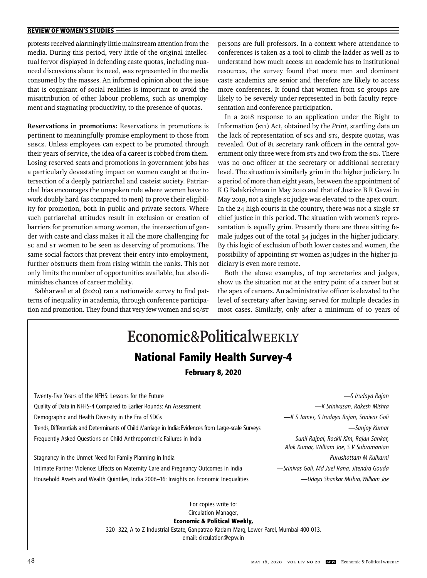protests received alarmingly little mainstream attention from the media. During this period, very little of the original intellectual fervor displayed in defending caste quotas, including nuanced discussions about its need, was represented in the media consumed by the masses. An informed opinion about the issue that is cognisant of social realities is important to avoid the misattribution of other labour problems, such as unemployment and stagnating productivity, to the presence of quotas.

**Reservations in promotions:** Reservations in promotions is pertinent to meaningfully promise employment to those from SEBCs. Unless employees can expect to be promoted through their years of service, the idea of a career is robbed from them. Losing reserved seats and promotions in government jobs has a particularly devastating impact on women caught at the intersection of a deeply patriarchal and casteist society. Patriarchal bias encourages the unspoken rule where women have to work doubly hard (as compared to men) to prove their eligibility for promotion, both in public and private sectors. Where such patriarchal attitudes result in exclusion or creation of barriers for promotion among women, the intersection of gender with caste and class makes it all the more challenging for sc and st women to be seen as deserving of promotions. The same social factors that prevent their entry into employment, further obstructs them from rising within the ranks. This not only limits the number of opportunities available, but also diminishes chances of career mobility.

Sabharwal et al (2020) ran a nationwide survey to find patterns of inequality in academia, through conference participation and promotion. They found that very few women and SC/ST persons are full professors. In a context where attendance to conferences is taken as a tool to climb the ladder as well as to understand how much access an academic has to institutional resources, the survey found that more men and dominant caste academics are senior and therefore are likely to access more conferences. It found that women from sc groups are likely to be severely under-represented in both faculty representation and conference participation.

In a 2018 response to an application under the Right to Information (RTI) Act, obtained by the *Print*, startling data on the lack of representation of SCs and STs, despite quotas, was revealed. Out of 81 secretary rank officers in the central government only three were from STs and two from the SCs. There was no OBC officer at the secretary or additional secretary level. The situation is similarly grim in the higher judiciary. In a period of more than eight years, between the appointment of K G Balakrishnan in May 2010 and that of Justice B R Gavai in May 2019, not a single SC judge was elevated to the apex court. In the 24 high courts in the country, there was not a single st chief justice in this period. The situation with women's representation is equally grim. Presently there are three sitting female judges out of the total 34 judges in the higher judiciary. By this logic of exclusion of both lower castes and women, the possibility of appointing ST women as judges in the higher judiciary is even more remote.

Both the above examples, of top secretaries and judges, show us the situation not at the entry point of a career but at the apex of careers. An administrative officer is elevated to the level of secretary after having served for multiple decades in most cases. Similarly, only after a minimum of 10 years of

| Economic&PoliticalWEEKLY<br><b>National Family Health Survey-4</b><br><b>February 8, 2020</b>         |                                                                                       |
|-------------------------------------------------------------------------------------------------------|---------------------------------------------------------------------------------------|
| Twenty-five Years of the NFHS: Lessons for the Future                                                 | —S Irudaya Rajan                                                                      |
| Quality of Data in NFHS-4 Compared to Earlier Rounds: An Assessment                                   | —K Srinivasan, Rakesh Mishra                                                          |
| Demographic and Health Diversity in the Era of SDGs                                                   | —K S James, S Irudaya Rajan, Srinivas Goli                                            |
| Trends, Differentials and Determinants of Child Marriage in India: Evidences from Large-scale Surveys | — Sanjay Kumar                                                                        |
| Frequently Asked Questions on Child Anthropometric Failures in India                                  | — Sunil Rajpal, Rockli Kim, Rajan Sankar,<br>Alok Kumar, William Joe, S V Subramanian |
| Stagnancy in the Unmet Need for Family Planning in India                                              | -Purushottam M Kulkarni                                                               |
| Intimate Partner Violence: Effects on Maternity Care and Pregnancy Outcomes in India                  | -Srinivas Goli, Md Juel Rana, Jitendra Gouda                                          |
| Household Assets and Wealth Quintiles, India 2006–16: Insights on Economic Inequalities               | —Udaya Shankar Mishra, William Joe                                                    |
| For copies write to:<br>Circulation Manager,<br><b>Economic &amp; Political Weekly,</b>               |                                                                                       |

320–322, A to Z Industrial Estate, Ganpatrao Kadam Marg, Lower Parel, Mumbai 400 013.

email: circulation@epw.in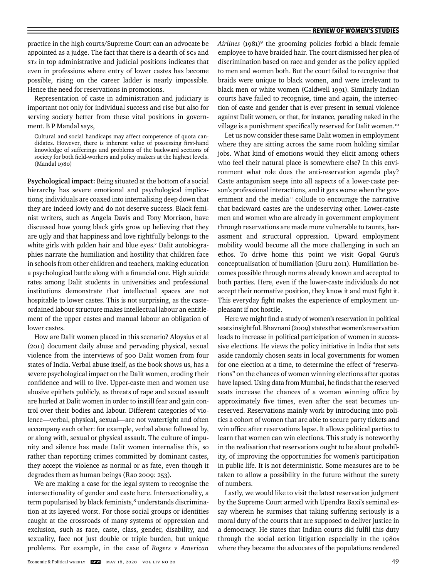practice in the high courts/Supreme Court can an advocate be appointed as a judge. The fact that there is a dearth of scs and STs in top administrative and judicial positions indicates that even in professions where entry of lower castes has become possible, rising on the career ladder is nearly impossible. Hence the need for reservations in promotions.

Representation of caste in administration and judiciary is important not only for individual success and rise but also for serving society better from these vital positions in government. B P Mandal says,

Cultural and social handicaps may affect competence of quota candidates. However, there is inherent value of possessing first-hand knowledge of sufferings and problems of the backward sections of society for both field-workers and policy makers at the highest levels. (Mandal 1980)

**Psychological impact:** Being situated at the bottom of a social hierarchy has severe emotional and psychological implications; individuals are coaxed into internalising deep down that they are indeed lowly and do not deserve success. Black feminist writers, such as Angela Davis and Tony Morrison, have discussed how young black girls grow up believing that they are ugly and that happiness and love rightfully belongs to the white girls with golden hair and blue eyes.7 Dalit autobiographies narrate the humiliation and hostility that children face in schools from other children and teachers, making education a psychological battle along with a financial one. High suicide rates among Dalit students in universities and professional institutions demonstrate that intellectual spaces are not hospitable to lower castes. This is not surprising, as the casteordained labour structure makes intellectual labour an entitlement of the upper castes and manual labour an obligation of lower castes.

How are Dalit women placed in this scenario? Aloysius et al (2011) document daily abuse and pervading physical, sexual violence from the interviews of 500 Dalit women from four states of India. Verbal abuse itself, as the book shows us, has a severe psychological impact on the Dalit women, eroding their confidence and will to live. Upper-caste men and women use abusive epithets publicly, as threats of rape and sexual assault are hurled at Dalit women in order to instill fear and gain control over their bodies and labour. Different categories of violence—verbal, physical, sexual—are not watertight and often accompany each other: for example, verbal abuse followed by, or along with, sexual or physical assault. The culture of impunity and silence has made Dalit women internalise this, so rather than reporting crimes committed by dominant castes, they accept the violence as normal or as fate, even though it degrades them as human beings (Rao 2009: 253).

We are making a case for the legal system to recognise the intersectionality of gender and caste here. Intersectionality, a term popularised by black feminists,<sup>8</sup> understands discrimination at its layered worst. For those social groups or identities caught at the crossroads of many systems of oppression and exclusion, such as race, caste, class, gender, disability, and sexuality, face not just double or triple burden, but unique problems. For example, in the case of *Rogers v American*  *Airlines* (1981)9 the grooming policies forbid a black female employee to have braided hair. The court dismissed her plea of discrimination based on race and gender as the policy applied to men and women both. But the court failed to recognise that braids were unique to black women, and were irrelevant to black men or white women (Caldwell 1991). Similarly Indian courts have failed to recognise, time and again, the intersection of caste and gender that is ever present in sexual violence against Dalit women, or that, for instance, parading naked in the village is a punishment specifically reserved for Dalit women.<sup>10</sup>

Let us now consider these same Dalit women in employment where they are sitting across the same room holding similar jobs. What kind of emotions would they elicit among others who feel their natural place is somewhere else? In this environment what role does the anti-reservation agenda play? Caste antagonism seeps into all aspects of a lower-caste person's professional interactions, and it gets worse when the government and the media<sup>11</sup> collude to encourage the narrative that backward castes are the undeserving other. Lower-caste men and women who are already in government employment through reservations are made more vulnerable to taunts, harassment and structural oppression. Upward employment mobility would become all the more challenging in such an ethos. To drive home this point we visit Gopal Guru's conceptualisation of humiliation (Guru 2011). Humiliation becomes possible through norms already known and accepted to both parties. Here, even if the lower-caste individuals do not accept their normative position, they know it and must fight it. This everyday fight makes the experience of employment unpleasant if not hostile.

Here we might find a study of women's reservation in political seats insightful. Bhavnani (2009) states that women's reservation leads to increase in political participation of women in successive elections. He views the policy initiative in India that sets aside randomly chosen seats in local governments for women for one election at a time, to determine the effect of "reservations" on the chances of women winning elections after quotas have lapsed. Using data from Mumbai, he finds that the reserved seats increase the chances of a woman winning office by approximately five times, even after the seat becomes unreserved. Reservations mainly work by introducing into politics a cohort of women that are able to secure party tickets and win office after reservations lapse. It allows political parties to learn that women can win elections. This study is noteworthy in the realisation that reservations ought to be about probability, of improving the opportunities for women's participation in public life. It is not deterministic. Some measures are to be taken to allow a possibility in the future without the surety of numbers.

Lastly, we would like to visit the latest reservation judgment by the Supreme Court armed with Upendra Baxi's seminal essay wherein he surmises that taking suffering seriously is a moral duty of the courts that are supposed to deliver justice in a democracy. He states that Indian courts did fulfil this duty through the social action litigation especially in the 1980s where they became the advocates of the populations rendered